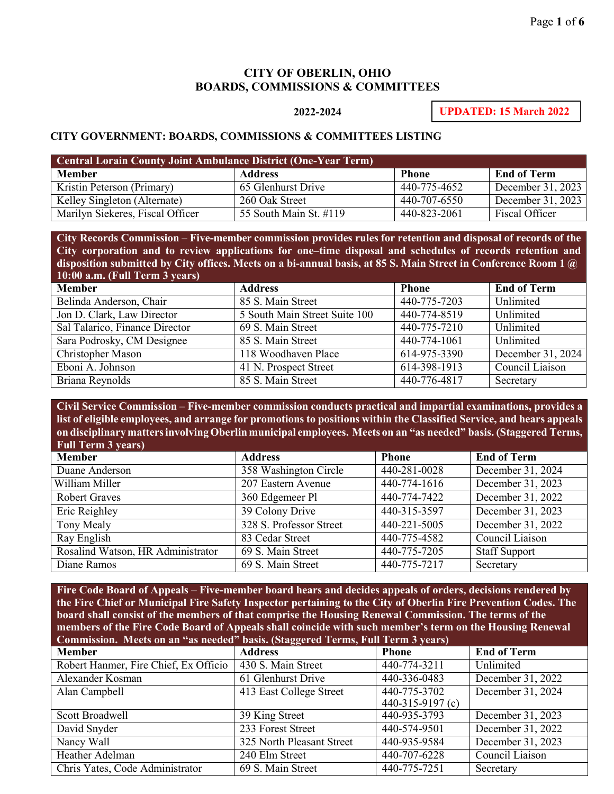## **CITY OF OBERLIN, OHIO BOARDS, COMMISSIONS & COMMITTEES**

## **2022-2024**

**UPDATED: 15 March 2022**

## **CITY GOVERNMENT: BOARDS, COMMISSIONS & COMMITTEES LISTING**

| <b>Central Lorain County Joint Ambulance District (One-Year Term)</b> |                        |              |                       |
|-----------------------------------------------------------------------|------------------------|--------------|-----------------------|
| <b>Member</b>                                                         | <b>Address</b>         | <b>Phone</b> | <b>End of Term</b>    |
| Kristin Peterson (Primary)                                            | 65 Glenhurst Drive     | 440-775-4652 | December 31, 2023     |
| Kelley Singleton (Alternate)                                          | 260 Oak Street         | 440-707-6550 | December 31, 2023     |
| Marilyn Siekeres, Fiscal Officer                                      | 55 South Main St. #119 | 440-823-2061 | <b>Fiscal Officer</b> |

**City Records Commission** – **Five-member commission provides rules for retention and disposal of records of the City corporation and to review applications for one–time disposal and schedules of records retention and disposition submitted by City offices. Meets on a bi-annual basis, at 85 S. Main Street in Conference Room 1 @ 10:00 a.m. (Full Term 3 years)**

| <b>Member</b>                  | <b>Address</b>                | <b>Phone</b> | <b>End of Term</b> |
|--------------------------------|-------------------------------|--------------|--------------------|
| Belinda Anderson, Chair        | 85 S. Main Street             | 440-775-7203 | Unlimited          |
| Jon D. Clark, Law Director     | 5 South Main Street Suite 100 | 440-774-8519 | Unlimited          |
| Sal Talarico, Finance Director | 69 S. Main Street             | 440-775-7210 | Unlimited          |
| Sara Podrosky, CM Designee     | 85 S. Main Street             | 440-774-1061 | Unlimited          |
| Christopher Mason              | 118 Woodhaven Place           | 614-975-3390 | December 31, 2024  |
| Eboni A. Johnson               | 41 N. Prospect Street         | 614-398-1913 | Council Liaison    |
| Briana Reynolds                | 85 S. Main Street             | 440-776-4817 | Secretary          |

**Civil Service Commission** – **Five-member commission conducts practical and impartial examinations, provides a list of eligible employees, and arrange for promotions to positions within the Classified Service, and hears appeals on disciplinary mattersinvolvingOberlinmunicipal employees. Meets on an "as needed" basis. (Staggered Terms, Full Term 3 years)**

| <b>Member</b>                     | <b>Address</b>          | <b>Phone</b> | <b>End of Term</b>   |
|-----------------------------------|-------------------------|--------------|----------------------|
| Duane Anderson                    | 358 Washington Circle   | 440-281-0028 | December 31, 2024    |
| William Miller                    | 207 Eastern Avenue      | 440-774-1616 | December 31, 2023    |
| <b>Robert Graves</b>              | 360 Edgemeer Pl         | 440-774-7422 | December 31, 2022    |
| Eric Reighley                     | 39 Colony Drive         | 440-315-3597 | December 31, 2023    |
| Tony Mealy                        | 328 S. Professor Street | 440-221-5005 | December 31, 2022    |
| Ray English                       | 83 Cedar Street         | 440-775-4582 | Council Liaison      |
| Rosalind Watson, HR Administrator | 69 S. Main Street       | 440-775-7205 | <b>Staff Support</b> |
| Diane Ramos                       | 69 S. Main Street       | 440-775-7217 | Secretary            |

**Fire Code Board of Appeals** – **Five-member board hears and decides appeals of orders, decisions rendered by the Fire Chief or Municipal Fire Safety Inspector pertaining to the City of Oberlin Fire Prevention Codes. The board shall consist of the members of that comprise the Housing Renewal Commission. The terms of the members of the Fire Code Board of Appeals shall coincide with such member's term on the Housing Renewal Commission. Meets on an "as needed" basis. (Staggered Terms, Full Term 3 years)**

| <b>Member</b>                         | $- -$<br><b>Address</b>   | <b>Phone</b>     | <b>End of Term</b> |
|---------------------------------------|---------------------------|------------------|--------------------|
| Robert Hanmer, Fire Chief, Ex Officio | 430 S. Main Street        | 440-774-3211     | Unlimited          |
| Alexander Kosman                      | 61 Glenhurst Drive        | 440-336-0483     | December 31, 2022  |
| Alan Campbell                         | 413 East College Street   | 440-775-3702     | December 31, 2024  |
|                                       |                           | 440-315-9197 (c) |                    |
| Scott Broadwell                       | 39 King Street            | 440-935-3793     | December 31, 2023  |
| David Snyder                          | 233 Forest Street         | 440-574-9501     | December 31, 2022  |
| Nancy Wall                            | 325 North Pleasant Street | 440-935-9584     | December 31, 2023  |
| Heather Adelman                       | 240 Elm Street            | 440-707-6228     | Council Liaison    |
| Chris Yates, Code Administrator       | 69 S. Main Street         | 440-775-7251     | Secretary          |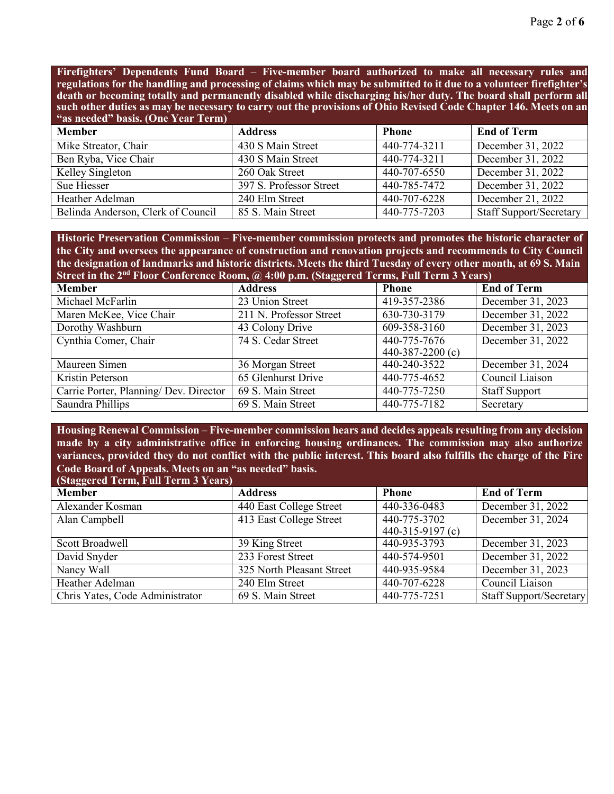**Firefighters' Dependents Fund Board** – **Five-member board authorized to make all necessary rules and regulations for the handling and processing of claims which may be submitted to it due to a volunteer firefighter's death or becoming totally and permanently disabled while discharging his/her duty. The board shall perform all such other duties as may be necessary to carry out the provisions of Ohio Revised Code Chapter 146. Meets on an "as needed" basis. (One Year Term)**

| <b>Member</b>                      | <b>Address</b>          | <b>Phone</b> | <b>End of Term</b>             |
|------------------------------------|-------------------------|--------------|--------------------------------|
| Mike Streator, Chair               | 430 S Main Street       | 440-774-3211 | December 31, 2022              |
| Ben Ryba, Vice Chair               | 430 S Main Street       | 440-774-3211 | December 31, 2022              |
| Kelley Singleton                   | 260 Oak Street          | 440-707-6550 | December 31, 2022              |
| Sue Hiesser                        | 397 S. Professor Street | 440-785-7472 | December 31, 2022              |
| Heather Adelman                    | 240 Elm Street          | 440-707-6228 | December 21, 2022              |
| Belinda Anderson, Clerk of Council | 85 S. Main Street       | 440-775-7203 | <b>Staff Support/Secretary</b> |

**Historic Preservation Commission** – **Five-member commission protects and promotes the historic character of the City and oversees the appearance of construction and renovation projects and recommends to City Council**  the designation of landmarks and historic districts. Meets the third Tuesday of every other month, at 69 S. Main **Street in the 2nd Floor Conference Room, @ 4:00 p.m. (Staggered Terms, Full Term 3 Years)**

| <b>Member</b>                          | <b>Address</b>          | <b>Phone</b>     | <b>End of Term</b>   |
|----------------------------------------|-------------------------|------------------|----------------------|
| Michael McFarlin                       | 23 Union Street         | 419-357-2386     | December 31, 2023    |
| Maren McKee, Vice Chair                | 211 N. Professor Street | 630-730-3179     | December 31, 2022    |
| Dorothy Washburn                       | 43 Colony Drive         | 609-358-3160     | December 31, 2023    |
| Cynthia Comer, Chair                   | 74 S. Cedar Street      | 440-775-7676     | December 31, 2022    |
|                                        |                         | 440-387-2200 (c) |                      |
| Maureen Simen                          | 36 Morgan Street        | 440-240-3522     | December 31, 2024    |
| Kristin Peterson                       | 65 Glenhurst Drive      | 440-775-4652     | Council Liaison      |
| Carrie Porter, Planning/ Dev. Director | 69 S. Main Street       | 440-775-7250     | <b>Staff Support</b> |
| Saundra Phillips                       | 69 S. Main Street       | 440-775-7182     | Secretary            |

**Housing Renewal Commission** – **Five-member commission hears and decides appeals resulting from any decision made by a city administrative office in enforcing housing ordinances. The commission may also authorize variances, provided they do not conflict with the public interest. This board also fulfills the charge of the Fire Code Board of Appeals. Meets on an "as needed" basis.**

| (Staggered Term, Full Term 3 Years) |                           |                  |                         |
|-------------------------------------|---------------------------|------------------|-------------------------|
| <b>Member</b>                       | <b>Address</b>            | <b>Phone</b>     | <b>End of Term</b>      |
| Alexander Kosman                    | 440 East College Street   | 440-336-0483     | December 31, 2022       |
| Alan Campbell                       | 413 East College Street   | 440-775-3702     | December 31, 2024       |
|                                     |                           | 440-315-9197 (c) |                         |
| Scott Broadwell                     | 39 King Street            | 440-935-3793     | December 31, 2023       |
| David Snyder                        | 233 Forest Street         | 440-574-9501     | December 31, 2022       |
| Nancy Wall                          | 325 North Pleasant Street | 440-935-9584     | December 31, 2023       |
| Heather Adelman                     | 240 Elm Street            | 440-707-6228     | Council Liaison         |
| Chris Yates, Code Administrator     | 69 S. Main Street         | 440-775-7251     | Staff Support/Secretary |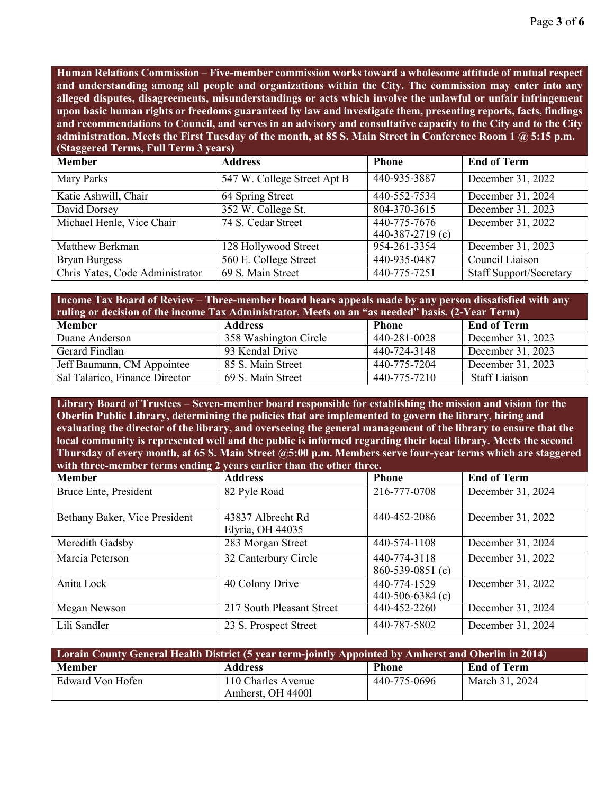**Human Relations Commission** – **Five-member commission works toward a wholesome attitude of mutual respect and understanding among all people and organizations within the City. The commission may enter into any alleged disputes, disagreements, misunderstandings or acts which involve the unlawful or unfair infringement upon basic human rights or freedoms guaranteed by law and investigate them, presenting reports, facts, findings**  and recommendations to Council, and serves in an advisory and consultative capacity to the City and to the City **administration. Meets the First Tuesday of the month, at 85 S. Main Street in Conference Room 1 @ 5:15 p.m. (Staggered Terms, Full Term 3 years)**

| <b>Member</b>                   | <b>Address</b>              | <b>Phone</b>     | <b>End of Term</b>             |
|---------------------------------|-----------------------------|------------------|--------------------------------|
| Mary Parks                      | 547 W. College Street Apt B | 440-935-3887     | December 31, 2022              |
| Katie Ashwill, Chair            | 64 Spring Street            | 440-552-7534     | December 31, 2024              |
| David Dorsey                    | 352 W. College St.          | 804-370-3615     | December 31, 2023              |
| Michael Henle, Vice Chair       | 74 S. Cedar Street          | 440-775-7676     | December 31, 2022              |
|                                 |                             | 440-387-2719 (c) |                                |
| Matthew Berkman                 | 128 Hollywood Street        | 954-261-3354     | December 31, 2023              |
| <b>Bryan Burgess</b>            | 560 E. College Street       | 440-935-0487     | Council Liaison                |
| Chris Yates, Code Administrator | 69 S. Main Street           | 440-775-7251     | <b>Staff Support/Secretary</b> |

| Income Tax Board of Review – Three-member board hears appeals made by any person dissatisfied with any<br>ruling or decision of the income Tax Administrator. Meets on an "as needed" basis. (2-Year Term) |                                               |              |                      |  |  |
|------------------------------------------------------------------------------------------------------------------------------------------------------------------------------------------------------------|-----------------------------------------------|--------------|----------------------|--|--|
| <b>Member</b>                                                                                                                                                                                              | <b>End of Term</b><br><b>Address</b><br>Phone |              |                      |  |  |
| Duane Anderson                                                                                                                                                                                             | 358 Washington Circle                         | 440-281-0028 | December $31, 2023$  |  |  |
| Gerard Findlan                                                                                                                                                                                             | 93 Kendal Drive                               | 440-724-3148 | December 31, 2023    |  |  |
| Jeff Baumann, CM Appointee                                                                                                                                                                                 | 85 S. Main Street                             | 440-775-7204 | December 31, 2023    |  |  |
| Sal Talarico, Finance Director                                                                                                                                                                             | 69 S. Main Street                             | 440-775-7210 | <b>Staff Liaison</b> |  |  |

**Library Board of Trustees** – **Seven-member board responsible for establishing the mission and vision for the Oberlin Public Library, determining the policies that are implemented to govern the library, hiring and evaluating the director of the library, and overseeing the general management of the library to ensure that the local community is represented well and the public is informed regarding their local library. Meets the second Thursday of every month, at 65 S. Main Street @5:00 p.m. Members serve four-year terms which are staggered with three-member terms ending 2 years earlier than the other three.**

| <b>Member</b>                 | <b>Address</b>                        | <b>Phone</b>                     | <b>End of Term</b> |
|-------------------------------|---------------------------------------|----------------------------------|--------------------|
| Bruce Ente, President         | 82 Pyle Road                          | 216-777-0708                     | December 31, 2024  |
| Bethany Baker, Vice President | 43837 Albrecht Rd<br>Elyria, OH 44035 | 440-452-2086                     | December 31, 2022  |
| Meredith Gadsby               | 283 Morgan Street                     | 440-574-1108                     | December 31, 2024  |
| Marcia Peterson               | 32 Canterbury Circle                  | 440-774-3118<br>860-539-0851 (c) | December 31, 2022  |
| Anita Lock                    | 40 Colony Drive                       | 440-774-1529<br>440-506-6384 (c) | December 31, 2022  |
| Megan Newson                  | 217 South Pleasant Street             | 440-452-2260                     | December 31, 2024  |
| Lili Sandler                  | 23 S. Prospect Street                 | 440-787-5802                     | December 31, 2024  |

| Lorain County General Health District (5 year term-jointly Appointed by Amherst and Oberlin in 2014) |                                         |              |                    |
|------------------------------------------------------------------------------------------------------|-----------------------------------------|--------------|--------------------|
| <b>Member</b>                                                                                        | <b>Address</b>                          | <b>Phone</b> | <b>End of Term</b> |
| Edward Von Hofen                                                                                     | 110 Charles Avenue<br>Amherst, OH 44001 | 440-775-0696 | March 31, 2024     |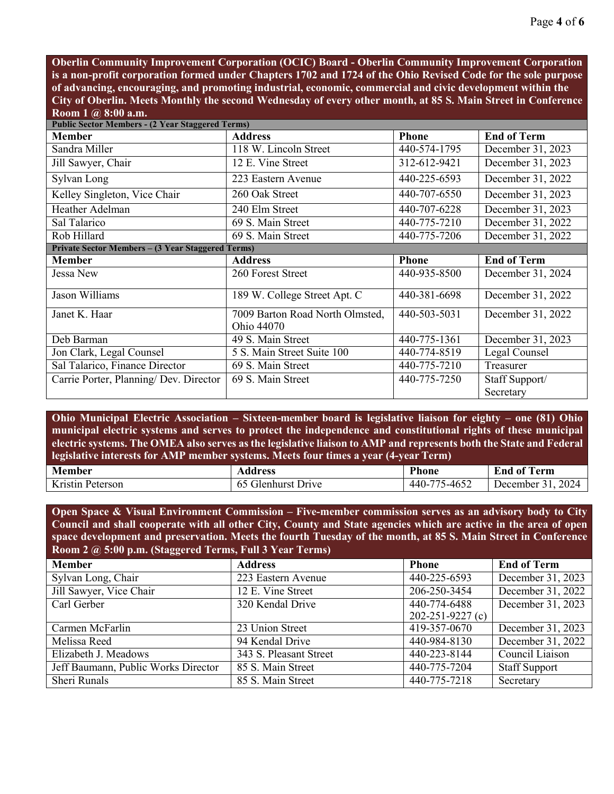**Oberlin Community Improvement Corporation (OCIC) Board - Oberlin Community Improvement Corporation is a non-profit corporation formed under Chapters 1702 and 1724 of the Ohio Revised Code for the sole purpose of advancing, encouraging, and promoting industrial, economic, commercial and civic development within the City of Oberlin. Meets Monthly the second Wednesday of every other month, at 85 S. Main Street in Conference Room 1 @ 8:00 a.m.**

| <b>Public Sector Members - (2 Year Staggered Terms)</b> |                                               |              |                    |  |
|---------------------------------------------------------|-----------------------------------------------|--------------|--------------------|--|
| <b>Member</b>                                           | <b>Address</b>                                | <b>Phone</b> | <b>End of Term</b> |  |
| Sandra Miller                                           | 118 W. Lincoln Street                         | 440-574-1795 | December 31, 2023  |  |
| Jill Sawyer, Chair                                      | 12 E. Vine Street                             | 312-612-9421 | December 31, 2023  |  |
| Sylvan Long                                             | 223 Eastern Avenue                            | 440-225-6593 | December 31, 2022  |  |
| Kelley Singleton, Vice Chair                            | 260 Oak Street                                | 440-707-6550 | December 31, 2023  |  |
| <b>Heather Adelman</b>                                  | 240 Elm Street                                | 440-707-6228 | December 31, 2023  |  |
| Sal Talarico                                            | 69 S. Main Street                             | 440-775-7210 | December 31, 2022  |  |
| Rob Hillard                                             | 69 S. Main Street                             | 440-775-7206 | December 31, 2022  |  |
| Private Sector Members - (3 Year Staggered Terms)       |                                               |              |                    |  |
| <b>Member</b>                                           | <b>Address</b>                                | <b>Phone</b> | <b>End of Term</b> |  |
| Jessa New                                               | 260 Forest Street                             | 440-935-8500 | December 31, 2024  |  |
| Jason Williams                                          | 189 W. College Street Apt. C                  | 440-381-6698 | December 31, 2022  |  |
| Janet K. Haar                                           | 7009 Barton Road North Olmsted,<br>Ohio 44070 | 440-503-5031 | December 31, 2022  |  |
| Deb Barman                                              | 49 S. Main Street                             | 440-775-1361 | December 31, 2023  |  |
| Jon Clark, Legal Counsel                                | 5 S. Main Street Suite 100                    | 440-774-8519 | Legal Counsel      |  |
| Sal Talarico, Finance Director                          | 69 S. Main Street                             | 440-775-7210 | Treasurer          |  |
| Carrie Porter, Planning/ Dev. Director                  | 69 S. Main Street                             | 440-775-7250 | Staff Support/     |  |
|                                                         |                                               |              | Secretary          |  |

**Ohio Municipal Electric Association – Sixteen-member board is legislative liaison for eighty – one (81) Ohio municipal electric systems and serves to protect the independence and constitutional rights of these municipal electric systems. The OMEA also serves as the legislative liaison to AMP and represents both the State and Federal legislative interests for AMP member systems. Meets four times a year (4-year Term)**

| <b>Member</b>                       | Address                        | <b>D</b><br>Phone         | $\theta$ m<br>erm<br>End<br>-01 |
|-------------------------------------|--------------------------------|---------------------------|---------------------------------|
| $T$ .<br><b>xristin</b><br>Peterson | -ilenhurst -<br>-)rive<br>- 62 | 5-4652<br>$- - -$<br>44V- | 2024<br>December .              |

**Open Space & Visual Environment Commission – Five-member commission serves as an advisory body to City Council and shall cooperate with all other City, County and State agencies which are active in the area of open space development and preservation. Meets the fourth Tuesday of the month, at 85 S. Main Street in Conference Room 2 @ 5:00 p.m. (Staggered Terms, Full 3 Year Terms)**

| <b>Member</b>                       | <b>Address</b>                       | <b>Phone</b>           | <b>End of Term</b>   |
|-------------------------------------|--------------------------------------|------------------------|----------------------|
| Sylvan Long, Chair                  | 223 Eastern Avenue                   | 440-225-6593           | December 31, 2023    |
| Jill Sawyer, Vice Chair             | 12 E. Vine Street                    | 206-250-3454           | December 31, 2022    |
| Carl Gerber                         | 320 Kendal Drive                     | 440-774-6488           | December 31, 2023    |
|                                     |                                      | $202 - 251 - 9227$ (c) |                      |
| Carmen McFarlin                     | $\overline{23 \text{ Union}}$ Street | 419-357-0670           | December 31, 2023    |
| Melissa Reed                        | 94 Kendal Drive                      | 440-984-8130           | December 31, 2022    |
| Elizabeth J. Meadows                | 343 S. Pleasant Street               | 440-223-8144           | Council Liaison      |
| Jeff Baumann, Public Works Director | 85 S. Main Street                    | 440-775-7204           | <b>Staff Support</b> |
| Sheri Runals                        | 85 S. Main Street                    | 440-775-7218           | Secretary            |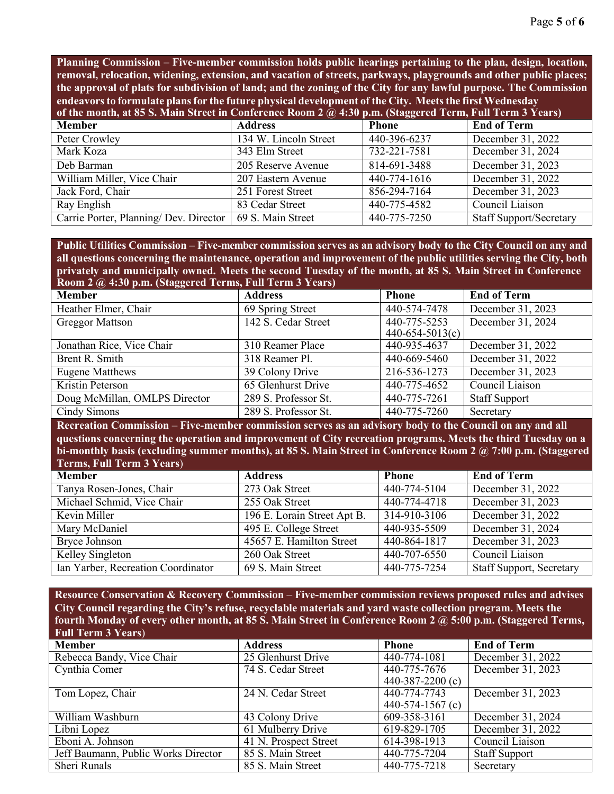**Planning Commission** – **Five-member commission holds public hearings pertaining to the plan, design, location, removal, relocation, widening, extension, and vacation of streets, parkways, playgrounds and other public places; the approval of plats for subdivision of land; and the zoning of the City for any lawful purpose. The Commission endeavorsto formulate plansfor the future physical development of the City. Meetsthe first Wednesday**

| of the month, at 85 S. Main Street in Conference Room 2 @ 4:30 p.m. (Staggered Term, Full Term 3 Years) |                       |              |                                |
|---------------------------------------------------------------------------------------------------------|-----------------------|--------------|--------------------------------|
| <b>Member</b>                                                                                           | <b>Address</b>        | <b>Phone</b> | <b>End of Term</b>             |
| Peter Crowley                                                                                           | 134 W. Lincoln Street | 440-396-6237 | December 31, 2022              |
| Mark Koza                                                                                               | 343 Elm Street        | 732-221-7581 | December 31, 2024              |
| Deb Barman                                                                                              | 205 Reserve Avenue    | 814-691-3488 | December 31, 2023              |
| William Miller, Vice Chair                                                                              | 207 Eastern Avenue    | 440-774-1616 | December 31, 2022              |
| Jack Ford, Chair                                                                                        | 251 Forest Street     | 856-294-7164 | December 31, 2023              |
| Ray English                                                                                             | 83 Cedar Street       | 440-775-4582 | Council Liaison                |
| Carrie Porter, Planning/ Dev. Director                                                                  | 69 S. Main Street     | 440-775-7250 | <b>Staff Support/Secretary</b> |

Public Utilities Commission – Five-member commission serves as an advisory body to the City Council on any and all questions concerning the maintenance, operation and improvement of the public utilities serving the City, both privately and municipally owned. Meets the second Tuesday of the month, at 85 S. Main Street in Conference **Room 2 @ 4:30 p.m. (Staggered Terms, Full Term 3 Years)**

| $100$ m $2 \times 100$ p.m. (bugget or Terms, T an Term b T cars) |                      |                   |                      |
|-------------------------------------------------------------------|----------------------|-------------------|----------------------|
| <b>Member</b>                                                     | <b>Address</b>       | <b>Phone</b>      | <b>End of Term</b>   |
| Heather Elmer, Chair                                              | 69 Spring Street     | 440-574-7478      | December 31, 2023    |
| <b>Greggor Mattson</b>                                            | 142 S. Cedar Street  | 440-775-5253      | December 31, 2024    |
|                                                                   |                      | $440-654-5013(c)$ |                      |
| Jonathan Rice, Vice Chair                                         | 310 Reamer Place     | 440-935-4637      | December 31, 2022    |
| Brent R. Smith                                                    | 318 Reamer Pl.       | 440-669-5460      | December 31, 2022    |
| Eugene Matthews                                                   | 39 Colony Drive      | 216-536-1273      | December 31, 2023    |
| Kristin Peterson                                                  | 65 Glenhurst Drive   | 440-775-4652      | Council Liaison      |
| Doug McMillan, OMLPS Director                                     | 289 S. Professor St. | 440-775-7261      | <b>Staff Support</b> |
| Cindy Simons                                                      | 289 S. Professor St. | 440-775-7260      | Secretary            |

**Recreation Commission** – **Five-member commission serves as an advisory body to the Council on any and all questions concerning the operation and improvement of City recreation programs. Meets the third Tuesday on a bi-monthly basis (excluding summer months), at 85 S. Main Street in Conference Room 2 @ 7:00 p.m. (Staggered Terms, Full Term 3 Years**)

| <b>Member</b>                      | <b>Address</b>              | <b>Phone</b>   | <b>End of Term</b>              |
|------------------------------------|-----------------------------|----------------|---------------------------------|
| Tanya Rosen-Jones, Chair           | 273 Oak Street              | 440-774-5104   | December 31, 2022               |
| Michael Schmid, Vice Chair         | 255 Oak Street              | 440-774-4718   | December 31, 2023               |
| Kevin Miller                       | 196 E. Lorain Street Apt B. | $314-910-3106$ | December 31, 2022               |
| Mary McDaniel                      | 495 E. College Street       | 440-935-5509   | December 31, 2024               |
| Bryce Johnson                      | 45657 E. Hamilton Street    | 440-864-1817   | December 31, 2023               |
| Kelley Singleton                   | 260 Oak Street              | 440-707-6550   | Council Liaison                 |
| Ian Yarber, Recreation Coordinator | 69 S. Main Street           | 440-775-7254   | <b>Staff Support, Secretary</b> |

**Resource Conservation & Recovery Commission** – **Five-member commission reviews proposed rules and advises City Council regarding the City's refuse, recyclable materials and yard waste collection program. Meets the fourth Monday of every other month, at 85 S. Main Street in Conference Room 2 @ 5:00 p.m. (Staggered Terms, Full Term 3 Years**)

| <b>Member</b>                       | <b>Address</b>        | <b>Phone</b>       | <b>End of Term</b>   |
|-------------------------------------|-----------------------|--------------------|----------------------|
| Rebecca Bandy, Vice Chair           | 25 Glenhurst Drive    | 440-774-1081       | December 31, 2022    |
| Cynthia Comer                       | 74 S. Cedar Street    | 440-775-7676       | December 31, 2023    |
|                                     |                       | 440-387-2200 $(c)$ |                      |
| Tom Lopez, Chair                    | 24 N. Cedar Street    | 440-774-7743       | December 31, 2023    |
|                                     |                       | 440-574-1567 $(c)$ |                      |
| William Washburn                    | 43 Colony Drive       | 609-358-3161       | December 31, 2024    |
| Libni Lopez                         | 61 Mulberry Drive     | 619-829-1705       | December 31, 2022    |
| Eboni A. Johnson                    | 41 N. Prospect Street | 614-398-1913       | Council Liaison      |
| Jeff Baumann, Public Works Director | 85 S. Main Street     | 440-775-7204       | <b>Staff Support</b> |
| Sheri Runals                        | 85 S. Main Street     | 440-775-7218       | Secretary            |